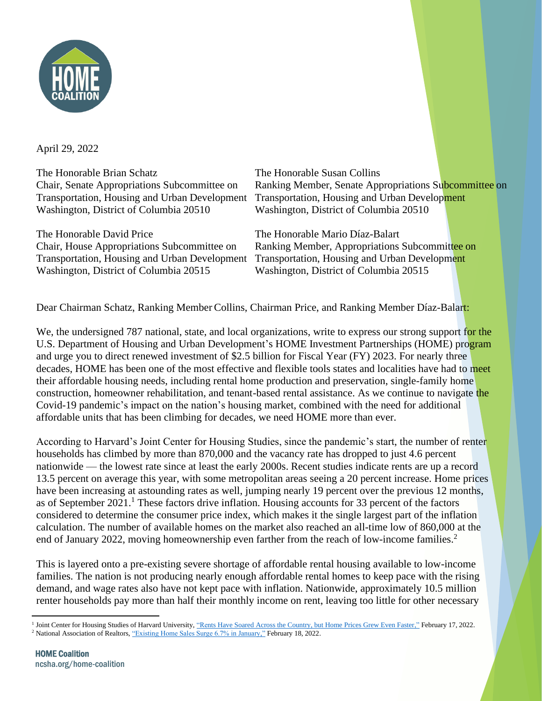

April 29, 2022

The Honorable Brian Schatz The Honorable Susan Collins Transportation, Housing and Urban Development Transportation, Housing and Urban Development Washington, District of Columbia 20510 Washington, District of Columbia 20510

The Honorable David Price The Honorable Mario Díaz-Balart Transportation, Housing and Urban Development Transportation, Housing and Urban Development Washington, District of Columbia 20515 Washington, District of Columbia 20515

Chair, Senate Appropriations Subcommittee on Ranking Member, Senate Appropriations Subcommittee on

Chair, House Appropriations Subcommittee on Ranking Member, Appropriations Subcommittee on

Dear Chairman Schatz, Ranking Member Collins, Chairman Price, and Ranking Member Díaz-Balart:

We, the undersigned 787 national, state, and local organizations, write to express our strong support for the U.S. Department of Housing and Urban Development's HOME Investment Partnerships (HOME) program and urge you to direct renewed investment of \$2.5 billion for Fiscal Year (FY) 2023. For nearly three decades, HOME has been one of the most effective and flexible tools states and localities have had to meet their affordable housing needs, including rental home production and preservation, single-family home construction, homeowner rehabilitation, and tenant-based rental assistance. As we continue to navigate the Covid-19 pandemic's impact on the nation's housing market, combined with the need for additional affordable units that has been climbing for decades, we need HOME more than ever.

According to Harvard's Joint Center for Housing Studies, since the pandemic's start, the number of renter households has climbed by more than 870,000 and the vacancy rate has dropped to just 4.6 percent nationwide — the lowest rate since at least the early 2000s. Recent studies indicate rents are up a record 13.5 percent on average this year, with some metropolitan areas seeing a 20 percent increase. Home prices have been increasing at astounding rates as well, jumping nearly 19 percent over the previous 12 months, as of September  $2021$ .<sup>1</sup> These factors drive inflation. Housing accounts for 33 percent of the factors considered to determine the consumer price index, which makes it the single largest part of the inflation calculation. The number of available homes on the market also reached an all-time low of 860,000 at the end of January 2022, moving homeownership even farther from the reach of low-income families.<sup>2</sup>

This is layered onto a pre-existing severe shortage of affordable rental housing available to low-income families. The nation is not producing nearly enough affordable rental homes to keep pace with the rising demand, and wage rates also have not kept pace with inflation. Nationwide, approximately 10.5 million renter households pay more than half their monthly income on rent, leaving too little for other necessary

<sup>&</sup>lt;sup>1</sup> Joint Center for Housing Studies of Harvard University, ["Rents Have Soared Across the Country, but Home Prices Grew Even Faster,"](https://www.jchs.harvard.edu/blog/rents-have-soared-across-country-home-prices-grew-even-faster) February 17, 2022. <sup>2</sup> National Association of Realtors[, "Existing Home Sales Surge 6.7% in January,"](https://www.nar.realtor/newsroom/existing-home-sales-surge-6-7-in-january) February 18, 2022.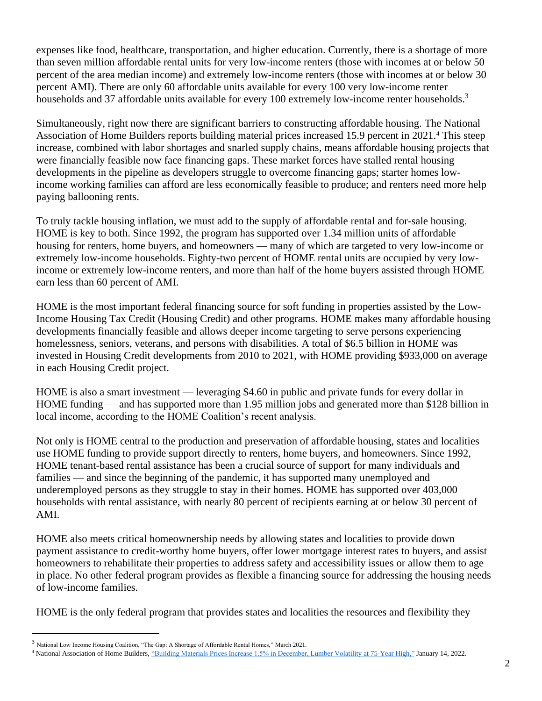expenses like food, healthcare, transportation, and higher education. Currently, there is a shortage of more than seven million affordable rental units for very low-income renters (those with incomes at or below 50 percent of the area median income) and extremely low-income renters (those with incomes at or below 30 percent AMI). There are only 60 affordable units available for every 100 very low-income renter households and 37 affordable units available for every 100 extremely low-income renter households.<sup>3</sup>

Simultaneously, right now there are significant barriers to constructing affordable housing. The National Association of Home Builders reports building material prices increased 15.9 percent in 2021.<sup>4</sup> This steep increase, combined with labor shortages and snarled supply chains, means affordable housing projects that were financially feasible now face financing gaps. These market forces have stalled rental housing developments in the pipeline as developers struggle to overcome financing gaps; starter homes lowincome working families can afford are less economically feasible to produce; and renters need more help paying ballooning rents.

To truly tackle housing inflation, we must add to the supply of affordable rental and for-sale housing. HOME is key to both. Since 1992, the program has supported over 1.34 million units of affordable housing for renters, home buyers, and homeowners — many of which are targeted to very low-income or extremely low-income households. Eighty-two percent of HOME rental units are occupied by very lowincome or extremely low-income renters, and more than half of the home buyers assisted through HOME earn less than 60 percent of AMI.

HOME is the most important federal financing source for soft funding in properties assisted by the Low-Income Housing Tax Credit (Housing Credit) and other programs. HOME makes many affordable housing developments financially feasible and allows deeper income targeting to serve persons experiencing homelessness, seniors, veterans, and persons with disabilities. A total of \$6.5 billion in HOME was invested in Housing Credit developments from 2010 to 2021, with HOME providing \$933,000 on average in each Housing Credit project.

HOME is also a smart investment — leveraging \$4.60 in public and private funds for every dollar in HOME funding — and has supported more than 1.95 million jobs and generated more than \$128 billion in local income, according to the HOME Coalition's recent analysis.

Not only is HOME central to the production and preservation of affordable housing, states and localities use HOME funding to provide support directly to renters, home buyers, and homeowners. Since 1992, HOME tenant-based rental assistance has been a crucial source of support for many individuals and families — and since the beginning of the pandemic, it has supported many unemployed and underemployed persons as they struggle to stay in their homes. HOME has supported over 403,000 households with rental assistance, with nearly 80 percent of recipients earning at or below 30 percent of AMI.

HOME also meets critical homeownership needs by allowing states and localities to provide down payment assistance to credit-worthy home buyers, offer lower mortgage interest rates to buyers, and assist homeowners to rehabilitate their properties to address safety and accessibility issues or allow them to age in place. No other federal program provides as flexible a financing source for addressing the housing needs of low-income families.

HOME is the only federal program that provides states and localities the resources and flexibility they

<sup>3</sup> National Low Income Housing Coalition, "The Gap: A Shortage of Affordable Rental Homes," March 2021.

<sup>4</sup> National Association of Home Builders[, "Building Materials Prices Increase 1.5% in December, Lumber Volatility at 75-Year High,"](https://eyeonhousing.org/2022/01/building-materials-prices-increase-1-5-in-december-lumber-volatility-at-75-year-high/) January 14, 2022.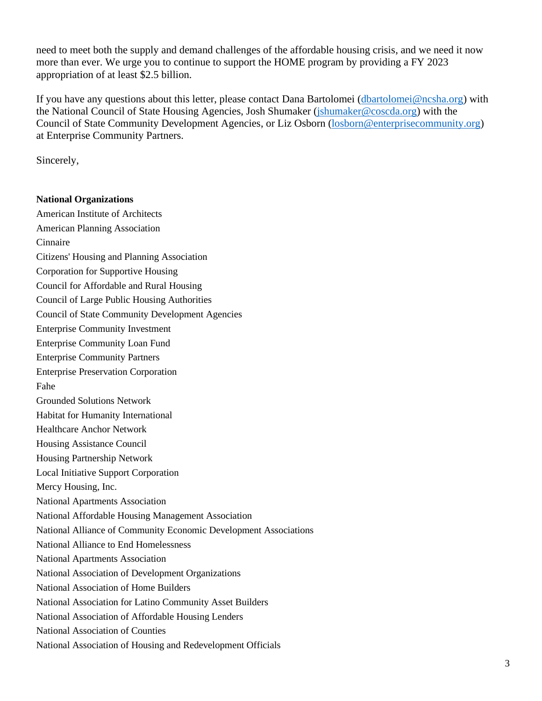need to meet both the supply and demand challenges of the affordable housing crisis, and we need it now more than ever. We urge you to continue to support the HOME program by providing a FY 2023 appropriation of at least \$2.5 billion.

If you have any questions about this letter, please contact Dana Bartolomei [\(dbartolomei@ncsha.org\)](mailto:dbartolomei@ncsha.org) with the National Council of State Housing Agencies, Josh Shumaker [\(jshumaker@coscda.org\)](mailto:jshumaker@coscda.org) with the Council of State Community Development Agencies, or Liz Osborn [\(losborn@enterprisecommunity.org\)](mailto:losborn@enterprisecommunity.org) at Enterprise Community Partners.

Sincerely,

## **National Organizations**

American Institute of Architects American Planning Association Cinnaire Citizens' Housing and Planning Association Corporation for Supportive Housing Council for Affordable and Rural Housing Council of Large Public Housing Authorities Council of State Community Development Agencies Enterprise Community Investment Enterprise Community Loan Fund Enterprise Community Partners Enterprise Preservation Corporation Fahe Grounded Solutions Network Habitat for Humanity International Healthcare Anchor Network Housing Assistance Council Housing Partnership Network Local Initiative Support Corporation Mercy Housing, Inc. National Apartments Association National Affordable Housing Management Association National Alliance of Community Economic Development Associations National Alliance to End Homelessness National Apartments Association National Association of Development Organizations National Association of Home Builders National Association for Latino Community Asset Builders National Association of Affordable Housing Lenders National Association of Counties National Association of Housing and Redevelopment Officials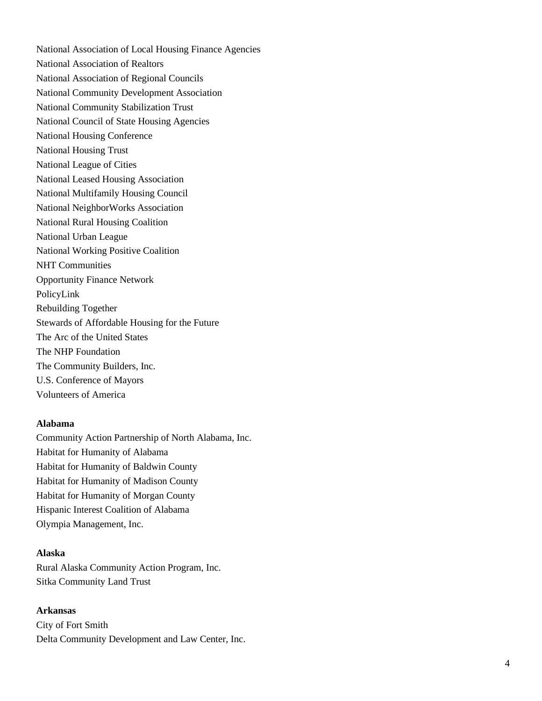National Association of Local Housing Finance Agencies National Association of Realtors National Association of Regional Councils National Community Development Association National Community Stabilization Trust National Council of State Housing Agencies National Housing Conference National Housing Trust National League of Cities National Leased Housing Association National Multifamily Housing Council National NeighborWorks Association National Rural Housing Coalition National Urban League National Working Positive Coalition NHT Communities Opportunity Finance Network PolicyLink Rebuilding Together Stewards of Affordable Housing for the Future The Arc of the United States The NHP Foundation The Community Builders, Inc. U.S. Conference of Mayors Volunteers of America

## **Alabama**

Community Action Partnership of North Alabama, Inc. Habitat for Humanity of Alabama Habitat for Humanity of Baldwin County Habitat for Humanity of Madison County Habitat for Humanity of Morgan County Hispanic Interest Coalition of Alabama Olympia Management, Inc.

### **Alaska**

Rural Alaska Community Action Program, Inc. Sitka Community Land Trust

## **Arkansas**

City of Fort Smith Delta Community Development and Law Center, Inc.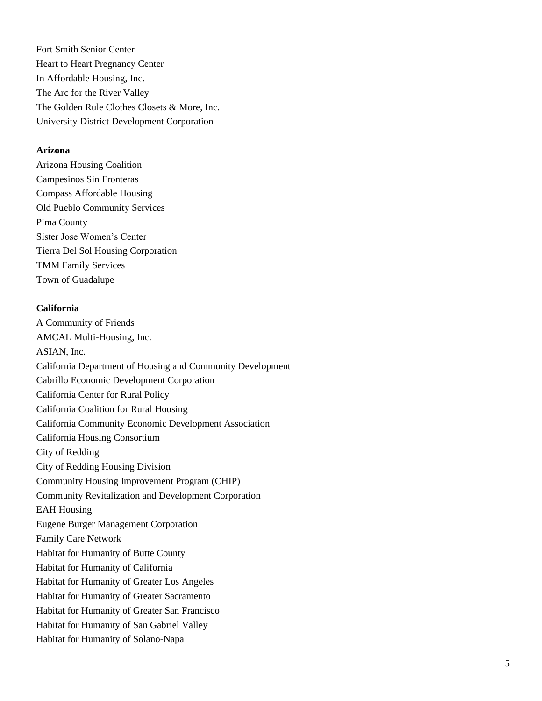Fort Smith Senior Center Heart to Heart Pregnancy Center In Affordable Housing, Inc. The Arc for the River Valley The Golden Rule Clothes Closets & More, Inc. University District Development Corporation

#### **Arizona**

Arizona Housing Coalition Campesinos Sin Fronteras Compass Affordable Housing Old Pueblo Community Services Pima County Sister Jose Women's Center Tierra Del Sol Housing Corporation TMM Family Services Town of Guadalupe

#### **California**

A Community of Friends AMCAL Multi -Housing, Inc. ASIAN, Inc. California Department of Housing and Community Development Cabrillo Economic Development Corporation California Center for Rural Policy California Coalition for Rural Housing California Community Economic Development Association California Housing Consortium City of Redding City of Redding Housing Division Community Housing Improvement Program (CHIP) Community Revitalization and Development Corporation EAH Housing Eugene Burger Management Corporation Family Care Network Habitat for Humanity of Butte County Habitat for Humanity of California Habitat for Humanity of Greater Los Angeles Habitat for Humanity of Greater Sacramento Habitat for Humanity of Greater San Francisco Habitat for Humanity of San Gabriel Valley Habitat for Humanity of Solano -Napa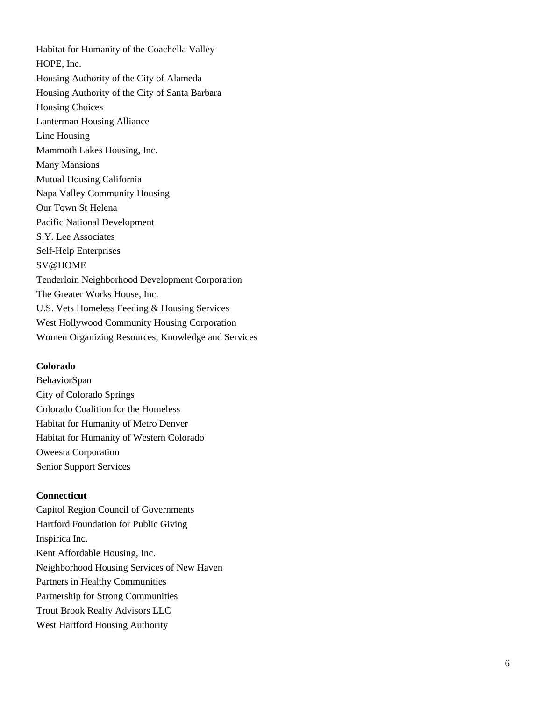Habitat for Humanity of the Coachella Valley HOPE, Inc. Housing Authority of the City of Alameda Housing Authority of the City of Santa Barbara Housing Choices Lanterman Housing Alliance Linc Housing Mammoth Lakes Housing, Inc. Many Mansions Mutual Housing California Napa Valley Community Housing Our Town St Helena Pacific National Development S.Y. Lee Associates Self-Help Enterprises SV@HOME Tenderloin Neighborhood Development Corporation The Greater Works House, Inc. U.S. Vets Homeless Feeding & Housing Services West Hollywood Community Housing Corporation Women Organizing Resources, Knowledge and Services

### **Colorado**

BehaviorSpan City of Colorado Springs Colorado Coalition for the Homeless Habitat for Humanity of Metro Denver Habitat for Humanity of Western Colorado Oweesta Corporation Senior Support Services

### **Connecticut**

Capitol Region Council of Governments Hartford Foundation for Public Giving Inspirica Inc. Kent Affordable Housing, Inc. Neighborhood Housing Services of New Haven Partners in Healthy Communities Partnership for Strong Communities Trout Brook Realty Advisors LLC West Hartford Housing Authority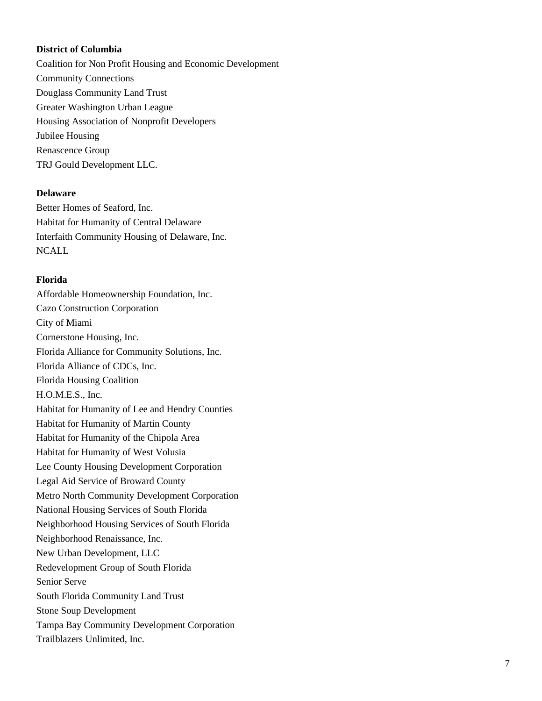## **District of Columbia**

Coalition for Non Profit Housing and Economic Development Community Connections Douglass Community Land Trust Greater Washington Urban League Housing Association of Nonprofit Developers Jubilee Housing Renascence Group TRJ Gould Development LLC.

#### **Delaware**

Better Homes of Seaford, Inc. Habitat for Humanity of Central Delaware Interfaith Community Housing of Delaware, Inc. **NCALL** 

#### **Florida**

Affordable Homeownership Foundation, Inc. Cazo Construction Corporation City of Miami Cornerstone Housing, Inc. Florida Alliance for Community Solutions, Inc. Florida Alliance of CDCs, Inc. Florida Housing Coalition H.O.M.E.S., Inc. Habitat for Humanity of Lee and Hendry Counties Habitat for Humanity of Martin County Habitat for Humanity of the Chipola Area Habitat for Humanity of West Volusia Lee County Housing Development Corporation Legal Aid Service of Broward County Metro North Community Development Corporation National Housing Services of South Florida Neighborhood Housing Services of South Florida Neighborhood Renaissance, Inc. New Urban Development, LLC Redevelopment Group of South Florida Senior Serve South Florida Community Land Trust Stone Soup Development Tampa Bay Community Development Corporation Trailblazers Unlimited, Inc.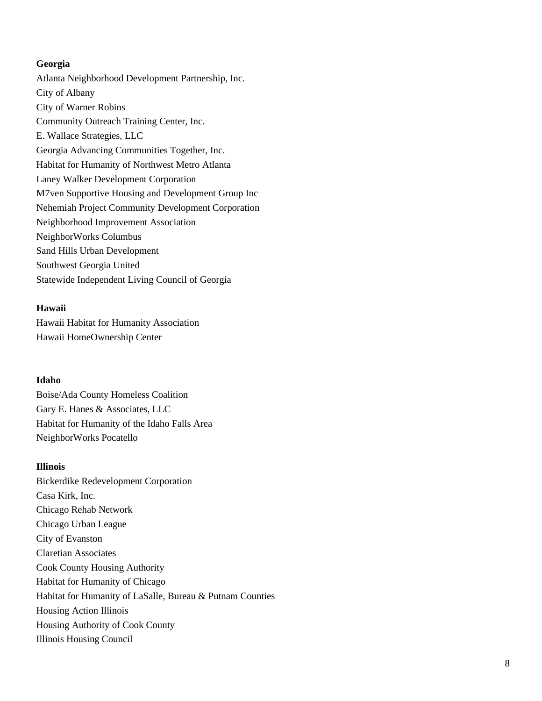## **Georgia**

Atlanta Neighborhood Development Partnership, Inc. City of Albany City of Warner Robins Community Outreach Training Center, Inc. E. Wallace Strategies, LLC Georgia Advancing Communities Together, Inc. Habitat for Humanity of Northwest Metro Atlanta Laney Walker Development Corporation M7ven Supportive Housing and Development Group Inc Nehemiah Project Community Development Corporation Neighborhood Improvement Association NeighborWorks Columbus Sand Hills Urban Development Southwest Georgia United Statewide Independent Living Council of Georgia

### **Hawaii**

Hawaii Habitat for Humanity Association Hawaii HomeOwnership Center

## **Idaho**

Boise/Ada County Homeless Coalition Gary E. Hanes & Associates, LLC Habitat for Humanity of the Idaho Falls Area NeighborWorks Pocatello

### **Illinois**

Bickerdike Redevelopment Corporation Casa Kirk, Inc. Chicago Rehab Network Chicago Urban League City of Evanston Claretian Associates Cook County Housing Authority Habitat for Humanity of Chicago Habitat for Humanity of LaSalle, Bureau & Putnam Counties Housing Action Illinois Housing Authority of Cook County Illinois Housing Council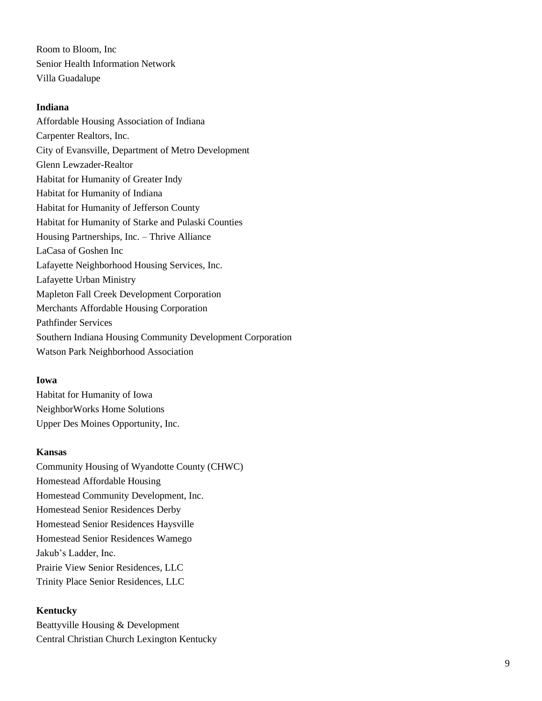Room to Bloom, Inc Senior Health Information Network Villa Guadalupe

#### **Indiana**

Affordable Housing Association of Indiana Carpenter Realtors, Inc. City of Evansville, Department of Metro Development Glenn Lewzader-Realtor Habitat for Humanity of Greater Indy Habitat for Humanity of Indiana Habitat for Humanity of Jefferson County Habitat for Humanity of Starke and Pulaski Counties Housing Partnerships, Inc. – Thrive Alliance LaCasa of Goshen Inc Lafayette Neighborhood Housing Services, Inc. Lafayette Urban Ministry Mapleton Fall Creek Development Corporation Merchants Affordable Housing Corporation Pathfinder Services Southern Indiana Housing Community Development Corporation Watson Park Neighborhood Association

## **Iowa**

Habitat for Humanity of Iowa NeighborWorks Home Solutions Upper Des Moines Opportunity, Inc.

### **Kansas**

Community Housing of Wyandotte County (CHWC) Homestead Affordable Housing Homestead Community Development, Inc. Homestead Senior Residences Derby Homestead Senior Residences Haysville Homestead Senior Residences Wamego Jakub's Ladder, Inc. Prairie View Senior Residences, LLC Trinity Place Senior Residences, LLC

## **Kentucky**

Beattyville Housing & Development Central Christian Church Lexington Kentucky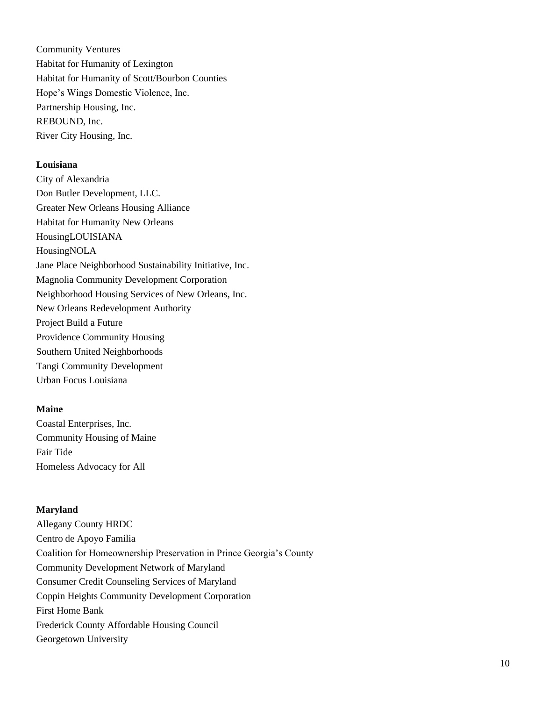Community Ventures Habitat for Humanity of Lexington Habitat for Humanity of Scott/Bourbon Counties Hope's Wings Domestic Violence, Inc. Partnership Housing, Inc. REBOUND, Inc. River City Housing, Inc.

### **Louisiana**

City of Alexandria Don Butler Development, LLC. Greater New Orleans Housing Alliance Habitat for Humanity New Orleans HousingLOUISIANA HousingNOLA Jane Place Neighborhood Sustainability Initiative, Inc. Magnolia Community Development Corporation Neighborhood Housing Services of New Orleans, Inc. New Orleans Redevelopment Authority Project Build a Future Providence Community Housing Southern United Neighborhoods Tangi Community Development Urban Focus Louisiana

## **Maine**

Coastal Enterprises, Inc. Community Housing of Maine Fair Tide Homeless Advocacy for All

## **Maryland**

Allegany County HRDC Centro de Apoyo Familia Coalition for Homeownership Preservation in Prince Georgia's County Community Development Network of Maryland Consumer Credit Counseling Services of Maryland Coppin Heights Community Development Corporation First Home Bank Frederick County Affordable Housing Council Georgetown University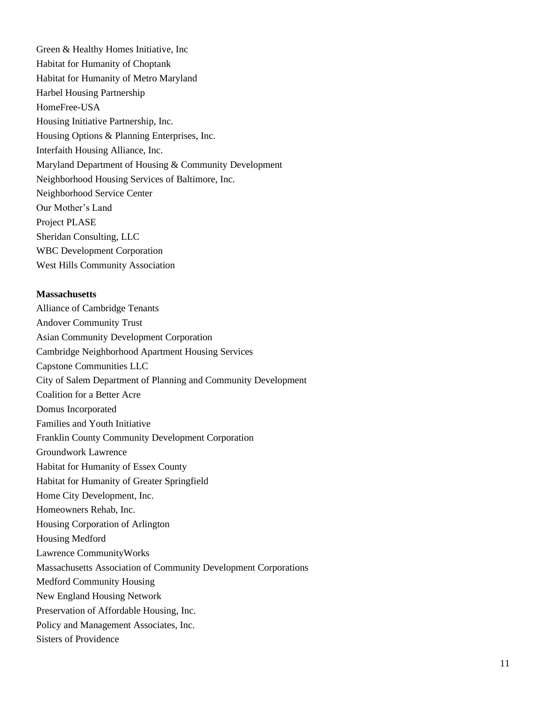Green & Healthy Homes Initiative, Inc Habitat for Humanity of Choptank Habitat for Humanity of Metro Maryland Harbel Housing Partnership HomeFree-USA Housing Initiative Partnership, Inc. Housing Options & Planning Enterprises, Inc. Interfaith Housing Alliance, Inc. Maryland Department of Housing & Community Development Neighborhood Housing Services of Baltimore, Inc. Neighborhood Service Center Our Mother's Land Project PLASE Sheridan Consulting, LLC WBC Development Corporation West Hills Community Association

#### **Massachusetts**

Alliance of Cambridge Tenants Andover Community Trust Asian Community Development Corporation Cambridge Neighborhood Apartment Housing Services Capstone Communities LLC City of Salem Department of Planning and Community Development Coalition for a Better Acre Domus Incorporated Families and Youth Initiative Franklin County Community Development Corporation Groundwork Lawrence Habitat for Humanity of Essex County Habitat for Humanity of Greater Springfield Home City Development, Inc. Homeowners Rehab, Inc. Housing Corporation of Arlington Housing Medford Lawrence CommunityWorks Massachusetts Association of Community Development Corporations Medford Community Housing New England Housing Network Preservation of Affordable Housing, Inc. Policy and Management Associates, Inc. Sisters of Providence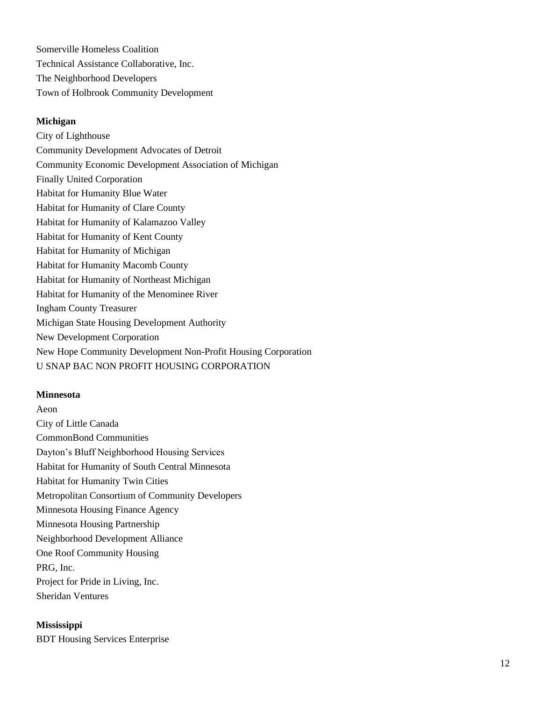Somerville Homeless Coalition Technical Assistance Collaborative, Inc. The Neighborhood Developers Town of Holbrook Community Development

## **Michigan**

City of Lighthouse Community Development Advocates of Detroit Community Economic Development Association of Michigan Finally United Corporation Habitat for Humanity Blue Water Habitat for Humanity of Clare County Habitat for Humanity of Kalamazoo Valley Habitat for Humanity of Kent County Habitat for Humanity of Michigan Habitat for Humanity Macomb County Habitat for Humanity of Northeast Michigan Habitat for Humanity of the Menominee River Ingham County Treasurer Michigan State Housing Development Authority New Development Corporation New Hope Community Development Non-Profit Housing Corporation U SNAP BAC NON PROFIT HOUSING CORPORATION

### **Minnesota**

Aeon City of Little Canada CommonBond Communities Dayton's Bluff Neighborhood Housing Services Habitat for Humanity of South Central Minnesota Habitat for Humanity Twin Cities Metropolitan Consortium of Community Developers Minnesota Housing Finance Agency Minnesota Housing Partnership Neighborhood Development Alliance One Roof Community Housing PRG, Inc. Project for Pride in Living, Inc. Sheridan Ventures

## **Mississippi**

BDT Housing Services Enterprise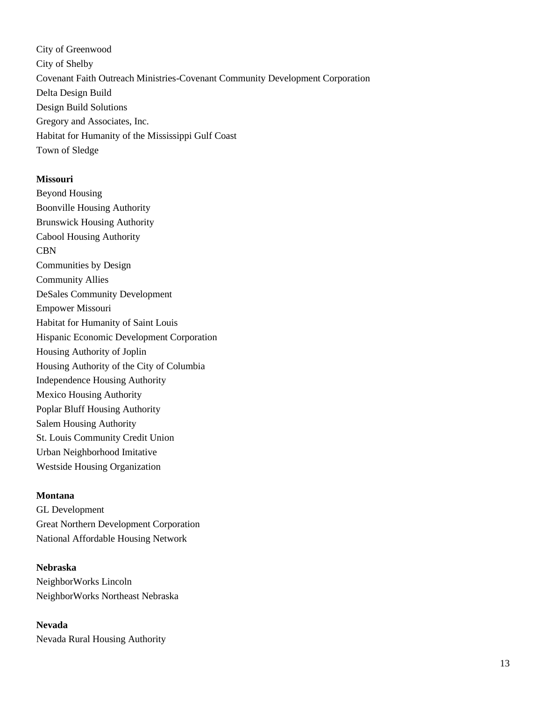City of Greenwood City of Shelby Covenant Faith Outreach Ministries-Covenant Community Development Corporation Delta Design Build Design Build Solutions Gregory and Associates, Inc. Habitat for Humanity of the Mississippi Gulf Coast Town of Sledge

#### **Missouri**

Beyond Housing Boonville Housing Authority Brunswick Housing Authority Cabool Housing Authority CBN Communities by Design Community Allies DeSales Community Development Empower Missouri Habitat for Humanity of Saint Louis Hispanic Economic Development Corporation Housing Authority of Joplin Housing Authority of the City of Columbia Independence Housing Authority Mexico Housing Authority Poplar Bluff Housing Authority Salem Housing Authority St. Louis Community Credit Union Urban Neighborhood Imitative Westside Housing Organization

#### **Montana**

GL Development Great Northern Development Corporation National Affordable Housing Network

#### **Nebraska**

NeighborWorks Lincoln NeighborWorks Northeast Nebraska

## **Nevada**

Nevada Rural Housing Authority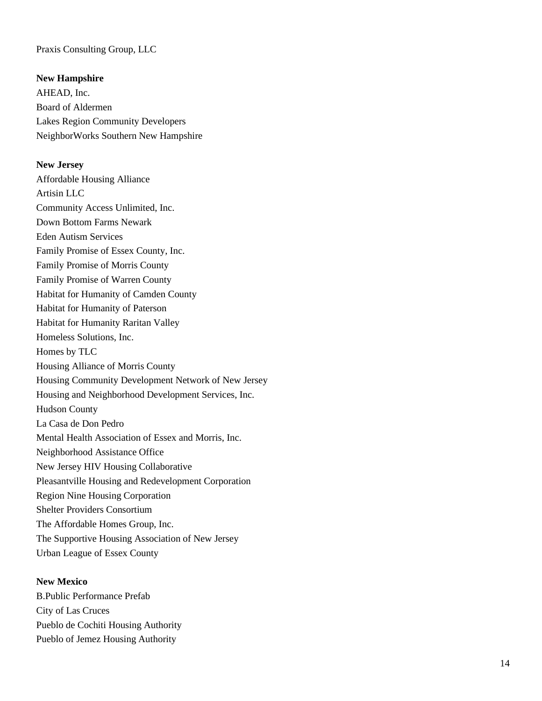## Praxis Consulting Group, LLC

### **New Hampshire**

AHEAD, Inc. Board of Aldermen Lakes Region Community Developers NeighborWorks Southern New Hampshire

#### **New Jersey**

Affordable Housing Alliance Artisin LLC Community Access Unlimited, Inc. Down Bottom Farms Newark Eden Autism Services Family Promise of Essex County, Inc. Family Promise of Morris County Family Promise of Warren County Habitat for Humanity of Camden County Habitat for Humanity of Paterson Habitat for Humanity Raritan Valley Homeless Solutions, Inc. Homes by TLC Housing Alliance of Morris County Housing Community Development Network of New Jersey Housing and Neighborhood Development Services, Inc. Hudson County La Casa de Don Pedro Mental Health Association of Essex and Morris, Inc. Neighborhood Assistance Office New Jersey HIV Housing Collaborative Pleasantville Housing and Redevelopment Corporation Region Nine Housing Corporation Shelter Providers Consortium The Affordable Homes Group, Inc. The Supportive Housing Association of New Jersey Urban League of Essex County

### **New Mexico**

B.Public Performance Prefab City of Las Cruces Pueblo de Cochiti Housing Authority Pueblo of Jemez Housing Authority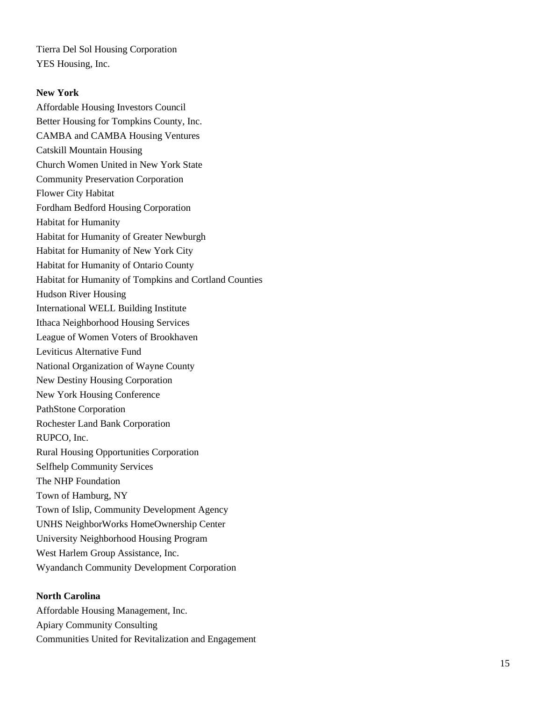Tierra Del Sol Housing Corporation YES Housing, Inc.

## **New York**

Affordable Housing Investors Council Better Housing for Tompkins County, Inc. CAMBA and CAMBA Housing Ventures Catskill Mountain Housing Church Women United in New York State Community Preservation Corporation Flower City Habitat Fordham Bedford Housing Corporation Habitat for Humanity Habitat for Humanity of Greater Newburgh Habitat for Humanity of New York City Habitat for Humanity of Ontario County Habitat for Humanity of Tompkins and Cortland Counties Hudson River Housing International WELL Building Institute Ithaca Neighborhood Housing Services League of Women Voters of Brookhaven Leviticus Alternative Fund National Organization of Wayne County New Destiny Housing Corporation New York Housing Conference PathStone Corporation Rochester Land Bank Corporation RUPCO, Inc. Rural Housing Opportunities Corporation Selfhelp Community Services The NHP Foundation Town of Hamburg, NY Town of Islip, Community Development Agency UNHS NeighborWorks HomeOwnership Center University Neighborhood Housing Program West Harlem Group Assistance, Inc. Wyandanch Community Development Corporation

### **North Carolina**

Affordable Housing Management, Inc. Apiary Community Consulting Communities United for Revitalization and Engagement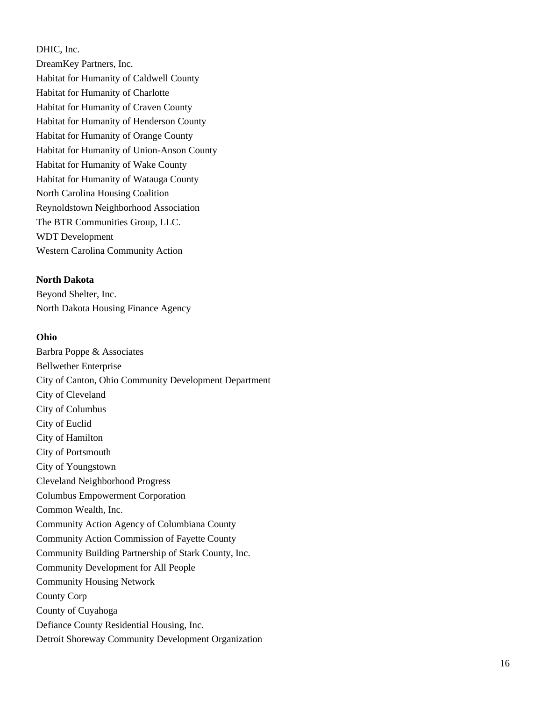DHIC, Inc.

DreamKey Partners, Inc. Habitat for Humanity of Caldwell County Habitat for Humanity of Charlotte Habitat for Humanity of Craven County Habitat for Humanity of Henderson County Habitat for Humanity of Orange County Habitat for Humanity of Union -Anson County Habitat for Humanity of Wake County Habitat for Humanity of Watauga County North Carolina Housing Coalition Reynoldstown Neighborhood Association The BTR Communities Group, LLC. WDT Development Western Carolina Community Action

**North Dakota**

Beyond Shelter, Inc. North Dakota Housing Finance Agency

## **Ohio**

Barbra Poppe & Associates Bellwether Enterprise City of Canton, Ohio Community Development Department City of Cleveland City of Columbus City of Euclid City of Hamilton City of Portsmouth City of Youngstown Cleveland Neighborhood Progress Columbus Empowerment Corporation Common Wealth, Inc. Community Action Agency of Columbiana County Community Action Commission of Fayette County Community Building Partnership of Stark County, Inc. Community Development for All People Community Housing Network County Corp County of Cuyahoga Defiance County Residential Housing, Inc. Detroit Shoreway Community Development Organization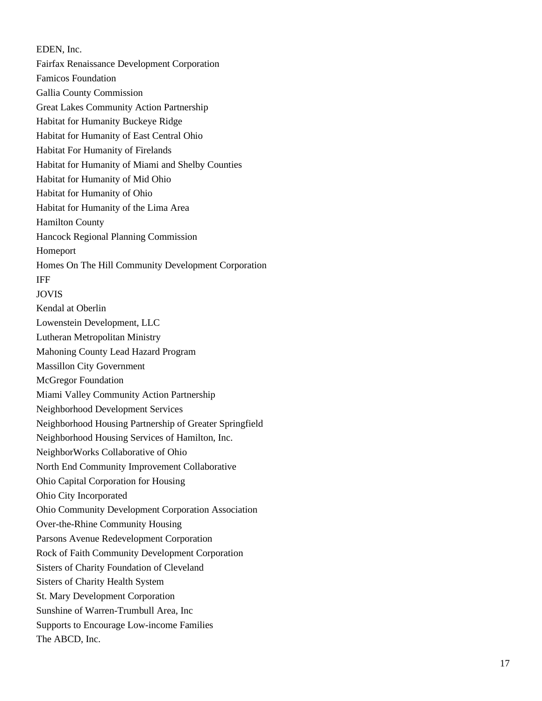EDEN, Inc. Fairfax Renaissance Development Corporation Famicos Foundation Gallia County Commission Great Lakes Community Action Partnership Habitat for Humanity Buckeye Ridge Habitat for Humanity of East Central Ohio Habitat For Humanity of Firelands Habitat for Humanity of Miami and Shelby Counties Habitat for Humanity of Mid Ohio Habitat for Humanity of Ohio Habitat for Humanity of the Lima Area Hamilton County Hancock Regional Planning Commission Homeport Homes On The Hill Community Development Corporation IFF JOVIS Kendal at Oberlin Lowenstein Development, LLC Lutheran Metropolitan Ministry Mahoning County Lead Hazard Program Massillon City Government McGregor Foundation Miami Valley Community Action Partnership Neighborhood Development Services Neighborhood Housing Partnership of Greater Springfield Neighborhood Housing Services of Hamilton, Inc. NeighborWorks Collaborative of Ohio North End Community Improvement Collaborative Ohio Capital Corporation for Housin g Ohio City Incorporated Ohio Community Development Corporation Association Over -the -Rhine Community Housing Parsons Avenue Redevelopment Corporation Rock of Faith Community Development Corporation Sisters of Charity Foundation of Cleveland Sisters of Charity Health System St. Mary Development Corporation Sunshine of Warren -Trumbull Area, Inc Supports to Encourage Low -income Families The ABCD, Inc.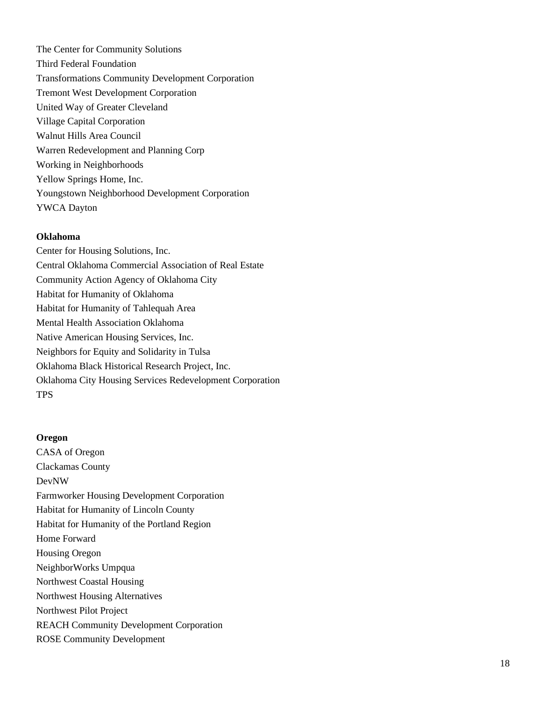The Center for Community Solutions Third Federal Foundation Transformations Community Development Corporatio n Tremont West Development Corporation United Way of Greater Cleveland Village Capital Corporation Walnut Hills Area Council Warren Redevelopment and Planning Corp Working in Neighborhoods Yellow Springs Home, Inc. Youngstown Neighborhood Development Corporation YWCA Dayton

#### **Oklahoma**

Center for Housing Solutions, Inc. Central Oklahoma Commercial Association of Real Estate Community Action Agency of Oklahoma City Habitat for Humanity of Oklahoma Habitat for Humanity of Tahlequah Area Mental Health Association Oklahoma Native American Housing Services, Inc. Neighbors for Equity and Solidarity in Tulsa Oklahoma Black Historical Research Project, Inc. Oklahoma City Housing Services Redevelopment Corporation TPS

### **Oregon**

CASA of Oregon Clackamas County DevNW Farmworker Housing Development Corporation Habitat for Humanity of Lincoln County Habitat for Humanity of the Portland Region Home Forward Housing Oregon NeighborWorks Umpqua Northwest Coastal Housing Northwest Housing Alternatives Northwest Pilot Project REACH Community Development Corporation ROSE Community Development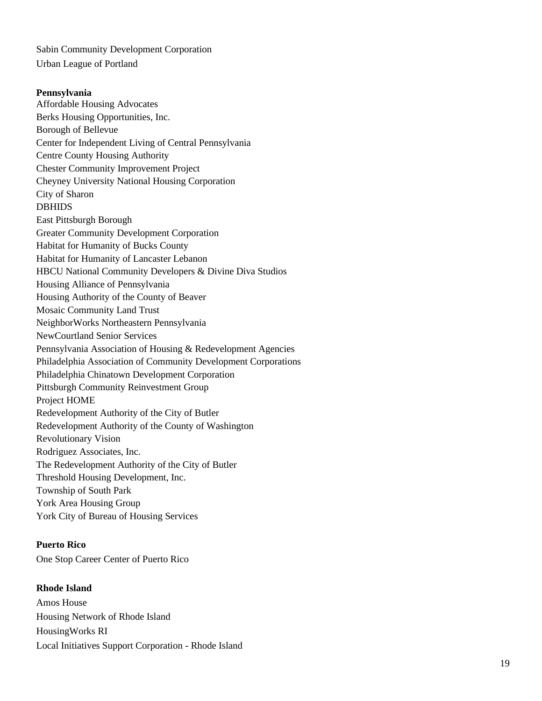Sabin Community Development Corporation Urban League of Portland

**Pennsylvania** Affordable Housing Advocates Berks Housing Opportunities, Inc. Borough of Bellevue Center for Independent Living of Central Pennsylvania Centre County Housing Authority Chester Community Improvement Project Cheyney University National Housing Corporation City of Sharon DBHIDS East Pittsburgh Borough Greater Community Development Corporation Habitat for Humanity of Bucks County Habitat for Humanity of Lancaster Lebanon HBCU National Community Developers & Divine Diva Studios Housing Alliance of Pennsylvania Housing Authority of the County of Beaver Mosaic Community Land Trust NeighborWorks Northeastern Pennsylvania NewCourtland Senior Services Pennsylvania Association of Housing & Redevelopment Agencies Philadelphia Association of Community Development Corporations Philadelphia Chinatown Development Corporation Pittsburgh Community Reinvestment Group Project HOME Redevelopment Authority of the City of Butler Redevelopment Authority of the County of Washington Revolutionary Vision Rodriguez Associates, Inc. The Redevelopment Authority of the City of Butler Threshold Housing Development, Inc. Township of South Park York Area Housing Group York City of Bureau of Housing Services

**Puerto Rico** One Stop Career Center of Puerto Rico

**Rhode Island** Amos House Housing Network of Rhode Island HousingWorks RI Local Initiatives Support Corporation - Rhode Island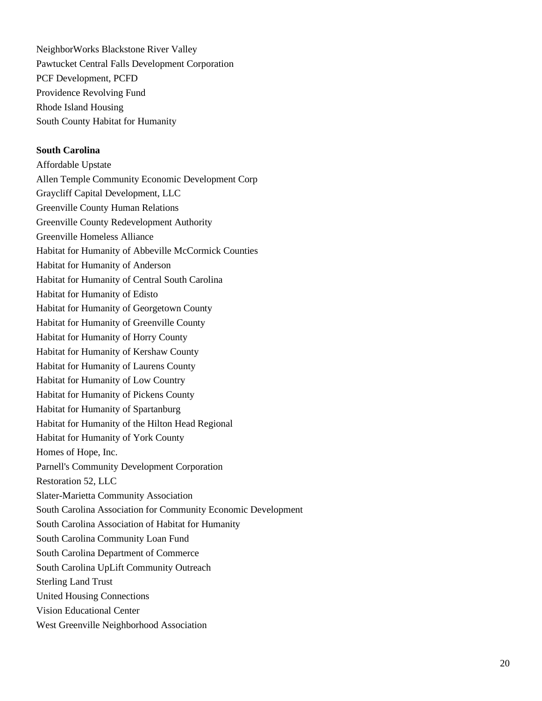NeighborWorks Blackstone River Valley Pawtucket Central Falls Development Corporation PCF Development, PCFD Providence Revolving Fund Rhode Island Housing South County Habitat for Humanity

### **South Carolina**

Affordable Upstate Allen Temple Community Economic Development Corp Graycliff Capital Development, LLC Greenville County Human Relations Greenville County Redevelopment Authority Greenville Homeless Alliance Habitat for Humanity of Abbeville McCormick Counties Habitat for Humanity of Anderson Habitat for Humanity of Central South Carolina Habitat for Humanity of Edisto Habitat for Humanity of Georgetown County Habitat for Humanity of Greenville County Habitat for Humanity of Horry County Habitat for Humanity of Kershaw County Habitat for Humanity of Laurens County Habitat for Humanity of Low Country Habitat for Humanity of Pickens County Habitat for Humanity of Spartanburg Habitat for Humanity of the Hilton Head Regional Habitat for Humanity of York County Homes of Hope, Inc. Parnell's Community Development Corporation Restoration 52, LLC Slater-Marietta Community Association South Carolina Association for Community Economic Development South Carolina Association of Habitat for Humanity South Carolina Community Loan Fund South Carolina Department of Commerce South Carolina UpLift Community Outreach Sterling Land Trust United Housing Connections Vision Educational Center West Greenville Neighborhood Association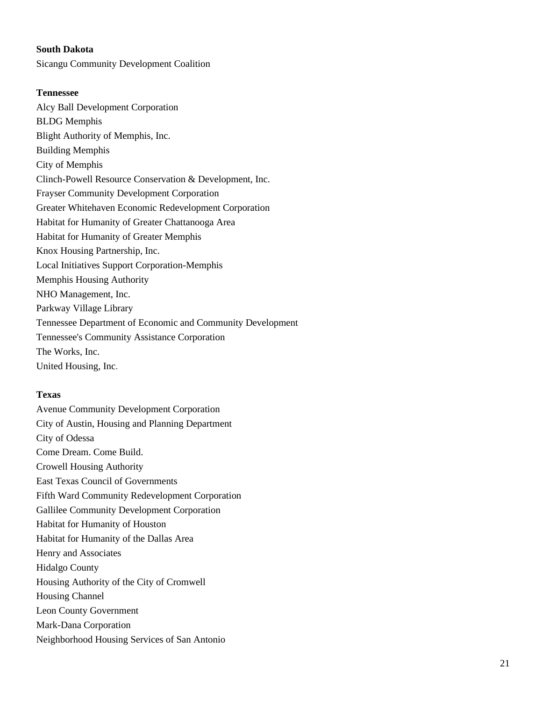## **South Dakota**

Sicangu Community Development Coalition

## **Tennessee**

Alcy Ball Development Corporation BLDG Memphis Blight Authority of Memphis, Inc. Building Memphis City of Memphis Clinch-Powell Resource Conservation & Development, Inc. Frayser Community Development Corporation Greater Whitehaven Economic Redevelopment Corporation Habitat for Humanity of Greater Chattanooga Area Habitat for Humanity of Greater Memphis Knox Housing Partnership, Inc. Local Initiatives Support Corporation-Memphis Memphis Housing Authority NHO Management, Inc. Parkway Village Library Tennessee Department of Economic and Community Development Tennessee's Community Assistance Corporation The Works, Inc. United Housing, Inc.

## **Texas**

Avenue Community Development Corporation City of Austin, Housing and Planning Department City of Odessa Come Dream. Come Build. Crowell Housing Authority East Texas Council of Governments Fifth Ward Community Redevelopment Corporation Gallilee Community Development Corporation Habitat for Humanity of Houston Habitat for Humanity of the Dallas Area Henry and Associates Hidalgo County Housing Authority of the City of Cromwell Housing Channel Leon County Government Mark-Dana Corporation Neighborhood Housing Services of San Antonio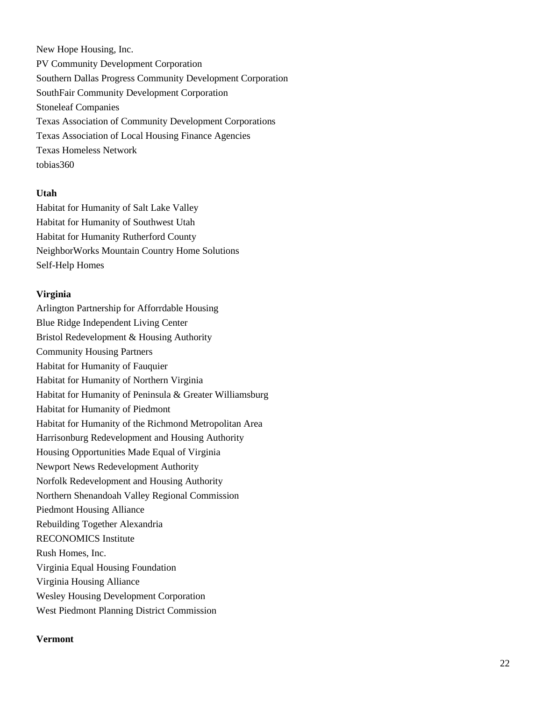New Hope Housing, Inc. PV Community Development Corporation Southern Dallas Progress Community Development Corporation SouthFair Community Development Corporation Stoneleaf Companies Texas Association of Community Development Corporations Texas Association of Local Housing Finance Agencies Texas Homeless Network tobias360

### **Utah**

Habitat for Humanity of Salt Lake Valley Habitat for Humanity of Southwest Utah Habitat for Humanity Rutherford County NeighborWorks Mountain Country Home Solutions Self-Help Homes

### **Virginia**

Arlington Partnership for Afforrdable Housing Blue Ridge Independent Living Center Bristol Redevelopment & Housing Authority Community Housing Partners Habitat for Humanity of Fauquier Habitat for Humanity of Northern Virginia Habitat for Humanity of Peninsula & Greater Williamsburg Habitat for Humanity of Piedmont Habitat for Humanity of the Richmond Metropolitan Area Harrisonburg Redevelopment and Housing Authority Housing Opportunities Made Equal of Virginia Newport News Redevelopment Authority Norfolk Redevelopment and Housing Authority Northern Shenandoah Valley Regional Commission Piedmont Housing Alliance Rebuilding Together Alexandria RECONOMICS Institute Rush Homes, Inc. Virginia Equal Housing Foundation Virginia Housing Alliance Wesley Housing Development Corporation West Piedmont Planning District Commission

#### **Vermont**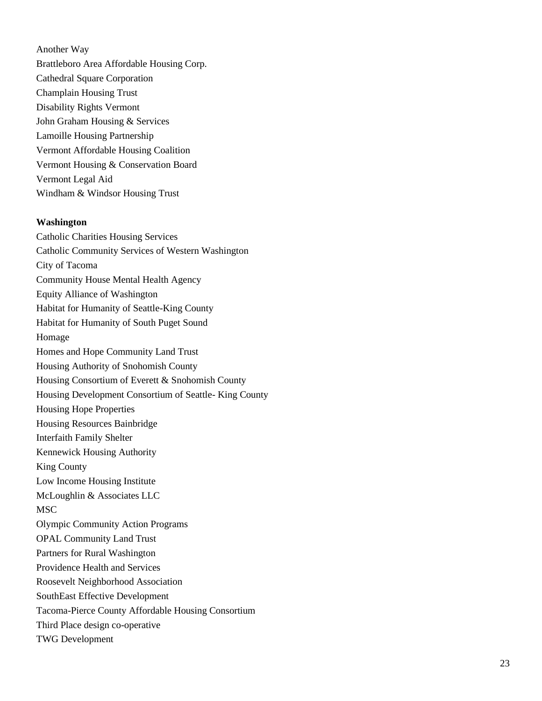Another Way Brattleboro Area Affordable Housing Corp. Cathedral Square Corporation Champlain Housing Trust Disability Rights Vermont John Graham Housing & Services Lamoille Housing Partnership Vermont Affordable Housing Coalition Vermont Housing & Conservation Board Vermont Legal Aid Windham & Windsor Housing Trust

#### **Washington**

Catholic Charities Housing Services Catholic Community Services of Western Washington City of Tacoma Community House Mental Health Agency Equity Alliance of Washington Habitat for Humanity of Seattle -King County Habitat for Humanity of South Puget Sound Homage Homes and Hope Community Land Trust Housing Authority of Snohomish County Housing Consortium of Everett & Snohomish County Housing Development Consortium of Seattle - King County Housing Hope Properties Housing Resources Bainbridge Interfaith Family Shelter Kennewick Housing Authority King County Low Income Housing Institute McLoughlin & Associates LLC **MSC** Olympic Community Action Programs OPAL Community Land Trust Partners for Rural Washington Providence Health and Services Roosevelt Neighborhood Association SouthEast Effective Development Tacoma -Pierce County Affordable Housing Consortium Third Place design co -operative TWG Development